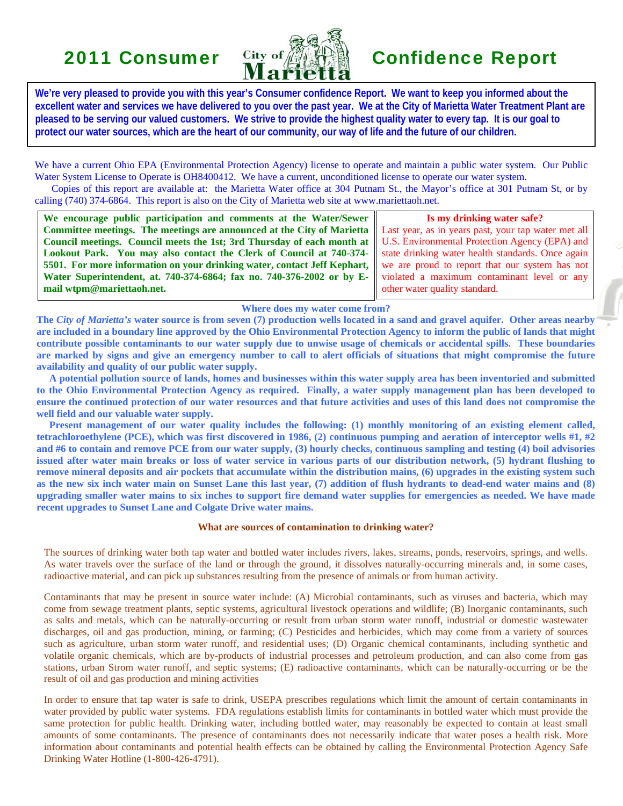

**We're very pleased to provide you with this year's Consumer confidence Report. We want to keep you informed about the excellent water and services we have delivered to you over the past year. We at the City of Marietta Water Treatment Plant are pleased to be serving our valued customers. We strive to provide the highest quality water to every tap. It is our goal to protect our water sources, which are the heart of our community, our way of life and the future of our children.** 

We have a current Ohio EPA (Environmental Protection Agency) license to operate and maintain a public water system. Our Public Water System License to Operate is OH8400412. We have a current, unconditioned license to operate our water system.

 Copies of this report are available at: the Marietta Water office at 304 Putnam St., the Mayor's office at 301 Putnam St, or by calling (740) 374-6864. This report is also on the City of Marietta web site at www.mariettaoh.net.

**We encourage public participation and comments at the Water/Sewer Committee meetings. The meetings are announced at the City of Marietta Council meetings. Council meets the 1st; 3rd Thursday of each month at Lookout Park. You may also contact the Clerk of Council at 740-374- 5501. For more information on your drinking water, contact Jeff Kephart, Water Superintendent, at. 740-374-6864; fax no. 740-376-2002 or by Email wtpm@mariettaoh.net.**

**Is my drinking water safe?**  Last year, as in years past, your tap water met all U.S. Environmental Protection Agency (EPA) and state drinking water health standards. Once again we are proud to report that our system has not violated a maximum contaminant level or any other water quality standard.

**Where does my water come from?** 

**The** *City of Marietta's* **water source is from seven (7) production wells located in a sand and gravel aquifer. Other areas nearby are included in a boundary line approved by the Ohio Environmental Protection Agency to inform the public of lands that might contribute possible contaminants to our water supply due to unwise usage of chemicals or accidental spills. These boundaries are marked by signs and give an emergency number to call to alert officials of situations that might compromise the future availability and quality of our public water supply.**

 **A potential pollution source of lands, homes and businesses within this water supply area has been inventoried and submitted to the Ohio Environmental Protection Agency as required. Finally, a water supply management plan has been developed to ensure the continued protection of our water resources and that future activities and uses of this land does not compromise the well field and our valuable water supply.**

 **Present management of our water quality includes the following: (1) monthly monitoring of an existing element called, tetrachloroethylene (PCE), which was first discovered in 1986, (2) continuous pumping and aeration of interceptor wells #1, #2 and #6 to contain and remove PCE from our water supply, (3) hourly checks, continuous sampling and testing (4) boil advisories issued after water main breaks or loss of water service in various parts of our distribution network, (5) hydrant flushing to remove mineral deposits and air pockets that accumulate within the distribution mains, (6) upgrades in the existing system such as the new six inch water main on Sunset Lane this last year, (7) addition of flush hydrants to dead-end water mains and (8) upgrading smaller water mains to six inches to support fire demand water supplies for emergencies as needed. We have made recent upgrades to Sunset Lane and Colgate Drive water mains.** 

### **What are sources of contamination to drinking water?**

The sources of drinking water both tap water and bottled water includes rivers, lakes, streams, ponds, reservoirs, springs, and wells. As water travels over the surface of the land or through the ground, it dissolves naturally-occurring minerals and, in some cases, radioactive material, and can pick up substances resulting from the presence of animals or from human activity.

Contaminants that may be present in source water include: (A) Microbial contaminants, such as viruses and bacteria, which may come from sewage treatment plants, septic systems, agricultural livestock operations and wildlife; (B) Inorganic contaminants, such as salts and metals, which can be naturally-occurring or result from urban storm water runoff, industrial or domestic wastewater discharges, oil and gas production, mining, or farming; (C) Pesticides and herbicides, which may come from a variety of sources such as agriculture, urban storm water runoff, and residential uses; (D) Organic chemical contaminants, including synthetic and volatile organic chemicals, which are by-products of industrial processes and petroleum production, and can also come from gas stations, urban Strom water runoff, and septic systems; (E) radioactive contaminants, which can be naturally-occurring or be the result of oil and gas production and mining activities

In order to ensure that tap water is safe to drink, USEPA prescribes regulations which limit the amount of certain contaminants in water provided by public water systems. FDA regulations establish limits for contaminants in bottled water which must provide the same protection for public health. Drinking water, including bottled water, may reasonably be expected to contain at least small amounts of some contaminants. The presence of contaminants does not necessarily indicate that water poses a health risk. More information about contaminants and potential health effects can be obtained by calling the Environmental Protection Agency Safe Drinking Water Hotline (1-800-426-4791).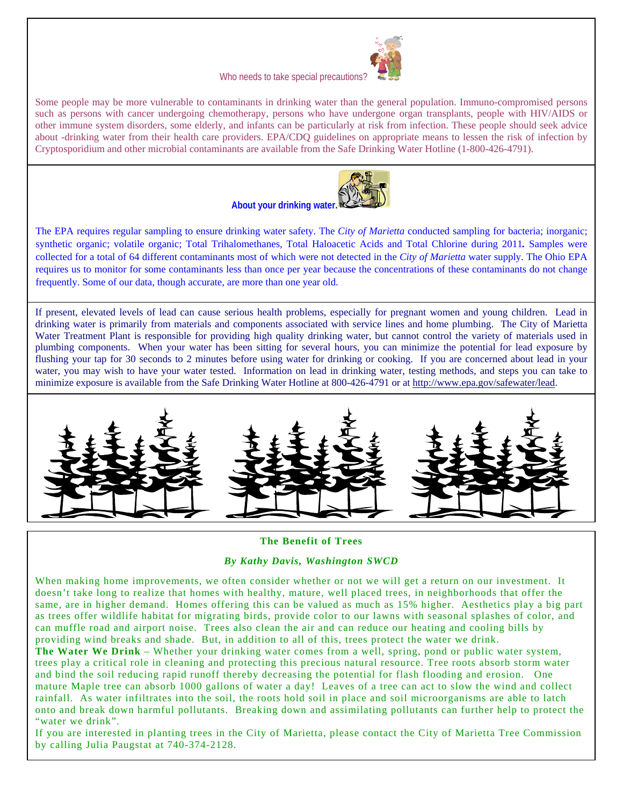

### Who needs to take special precautions?

Some people may be more vulnerable to contaminants in drinking water than the general population. Immuno-compromised persons such as persons with cancer undergoing chemotherapy, persons who have undergone organ transplants, people with HIV/AIDS or other immune system disorders, some elderly, and infants can be particularly at risk from infection. These people should seek advice about -drinking water from their health care providers. EPA/CDQ guidelines on appropriate means to lessen the risk of infection by Cryptosporidium and other microbial contaminants are available from the Safe Drinking Water Hotline (1-800-426-4791).



**About your drinking water.**

The EPA requires regular sampling to ensure drinking water safety. The *City of Marietta* conducted sampling for bacteria; inorganic; synthetic organic; volatile organic; Total Trihalomethanes, Total Haloacetic Acids and Total Chlorine during 2011*.* Samples were collected for a total of 64 different contaminants most of which were not detected in the *City of Marietta* water supply. The Ohio EPA requires us to monitor for some contaminants less than once per year because the concentrations of these contaminants do not change frequently. Some of our data, though accurate, are more than one year old.

If present, elevated levels of lead can cause serious health problems, especially for pregnant women and young children. Lead in drinking water is primarily from materials and components associated with service lines and home plumbing. The City of Marietta Water Treatment Plant is responsible for providing high quality drinking water, but cannot control the variety of materials used in plumbing components. When your water has been sitting for several hours, you can minimize the potential for lead exposure by flushing your tap for 30 seconds to 2 minutes before using water for drinking or cooking. If you are concerned about lead in your water, you may wish to have your water tested. Information on lead in drinking water, testing methods, and steps you can take to minimize exposure is available from the Safe Drinking Water Hotline at 800-426-4791 or at http://www.epa.gov/safewater/lead.



## **The Benefit of Trees**

## *By Kathy Davis, Washington SWCD*

When making home improvements, we often consider whether or not we will get a return on our investment. It doesn't take long to realize that homes with healthy, mature, well placed trees, in neighborhoods that offer the same, are in higher demand. Homes offering this can be valued as much as 15% higher. Aesthetics play a big part as trees offer wildlife habitat for migrating birds, provide color to our lawns with seasonal splashes of color, and can muffle road and airport noise. Trees also clean the air and can reduce our heating and cooling bills by providing wind breaks and shade. But, in addition to all of this, trees protect the water we drink.

**The Water We Drink** – Whether your drinking water comes from a well, spring, pond or public water system, trees play a critical role in cleaning and protecting this precious natural resource. Tree roots absorb storm water and bind the soil reducing rapid runoff thereby decreasing the potential for flash flooding and erosion. One mature Maple tree can absorb 1000 gallons of water a day! Leaves of a tree can act to slow the wind and collect rainfall. As water infiltrates into the soil, the roots hold soil in place and soil microorganisms are able to latch onto and break down harmful pollutants. Breaking down and assimilating pollutants can further help to protect the "water we drink".

If you are interested in planting trees in the City of Marietta, please contact the City of Marietta Tree Commission by calling Julia Paugstat at 740-374-2128.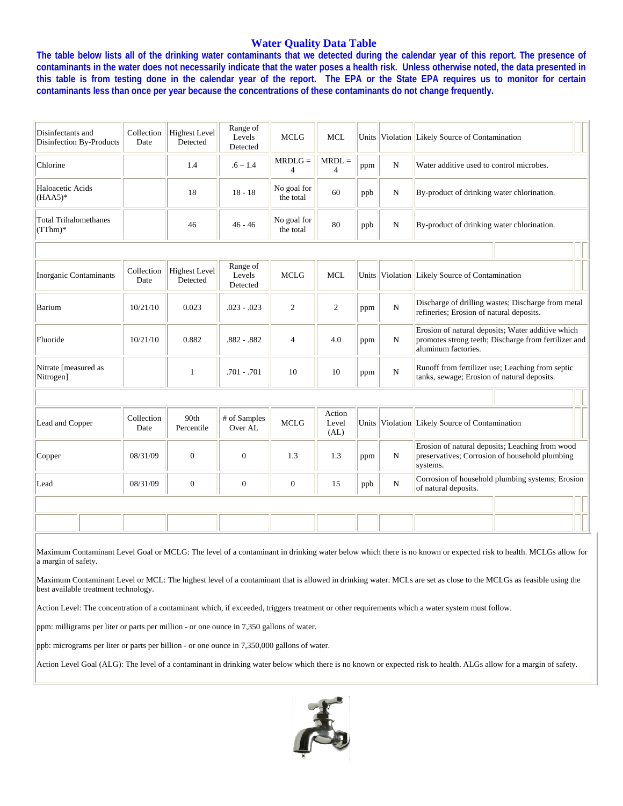## **Water Quality Data Table**

**The table below lists all of the drinking water contaminants that we detected during the calendar year of this report. The presence of contaminants in the water does not necessarily indicate that the water poses a health risk. Unless otherwise noted, the data presented in this table is from testing done in the calendar year of the report. The EPA or the State EPA requires us to monitor for certain contaminants less than once per year because the concentrations of these contaminants do not change frequently.** 

| Disinfectants and<br>Disinfection By-Products | Collection<br>Date | <b>Highest Level</b><br>Detected | Range of<br>Levels<br>Detected | <b>MCLG</b>                 | <b>MCL</b>                 |     |             | Units Violation Likely Source of Contamination                                                                                   |
|-----------------------------------------------|--------------------|----------------------------------|--------------------------------|-----------------------------|----------------------------|-----|-------------|----------------------------------------------------------------------------------------------------------------------------------|
| Chlorine                                      |                    | 1.4                              | $.6 - 1.4$                     | $MRDLG =$<br>$\overline{4}$ | $MRDL =$<br>$\overline{4}$ | ppm | N           | Water additive used to control microbes.                                                                                         |
| Haloacetic Acids<br>$(HAA5)^*$                |                    | 18                               | $18 - 18$                      | No goal for<br>the total    | 60                         | ppb | N           | By-product of drinking water chlorination.                                                                                       |
| <b>Total Trihalomethanes</b><br>$(TThm)*$     |                    | 46                               | $46 - 46$                      | No goal for<br>the total    | 80                         | ppb | N           | By-product of drinking water chlorination.                                                                                       |
|                                               |                    |                                  |                                |                             |                            |     |             |                                                                                                                                  |
| <b>Inorganic Contaminants</b>                 | Collection<br>Date | <b>Highest Level</b><br>Detected | Range of<br>Levels<br>Detected | <b>MCLG</b>                 | <b>MCL</b>                 |     |             | Units Violation Likely Source of Contamination                                                                                   |
| Barium                                        | 10/21/10           | 0.023                            | $.023 - .023$                  | 2                           | 2                          | ppm | $\mathbf N$ | Discharge of drilling wastes; Discharge from metal<br>refineries; Erosion of natural deposits.                                   |
| Fluoride                                      | 10/21/10           | 0.882                            | $.882-.882$                    | $\overline{4}$              | 4.0                        | ppm | $\mathbf N$ | Erosion of natural deposits; Water additive which<br>promotes strong teeth; Discharge from fertilizer and<br>aluminum factories. |
| Nitrate [measured as<br>Nitrogen]             |                    | 1                                | $.701 - .701$                  | 10                          | 10                         | ppm | $\mathbf N$ | Runoff from fertilizer use; Leaching from septic<br>tanks, sewage; Erosion of natural deposits.                                  |
|                                               |                    |                                  |                                |                             |                            |     |             |                                                                                                                                  |
| Lead and Copper                               | Collection<br>Date | 90th<br>Percentile               | # of Samples<br>Over AL        | <b>MCLG</b>                 | Action<br>Level<br>(AL)    |     |             | Units Violation Likely Source of Contamination                                                                                   |
| Copper                                        | 08/31/09           | $\overline{0}$                   | $\mathbf{0}$                   | 1.3                         | 1.3                        | ppm | $\mathbf N$ | Erosion of natural deposits; Leaching from wood<br>preservatives; Corrosion of household plumbing<br>systems.                    |
| Lead                                          | 08/31/09           | $\mathbf{0}$                     | $\boldsymbol{0}$               | $\mathbf{0}$                | 15                         | ppb | $\mathbf N$ | Corrosion of household plumbing systems; Erosion<br>of natural deposits.                                                         |
|                                               |                    |                                  |                                |                             |                            |     |             |                                                                                                                                  |
|                                               |                    |                                  |                                |                             |                            |     |             |                                                                                                                                  |
|                                               |                    |                                  |                                |                             |                            |     |             |                                                                                                                                  |

Maximum Contaminant Level Goal or MCLG: The level of a contaminant in drinking water below which there is no known or expected risk to health. MCLGs allow for a margin of safety.

Maximum Contaminant Level or MCL: The highest level of a contaminant that is allowed in drinking water. MCLs are set as close to the MCLGs as feasible using the best available treatment technology.

Action Level: The concentration of a contaminant which, if exceeded, triggers treatment or other requirements which a water system must follow.

ppm: milligrams per liter or parts per million - or one ounce in 7,350 gallons of water.

ppb: micrograms per liter or parts per billion - or one ounce in 7,350,000 gallons of water.

Action Level Goal (ALG): The level of a contaminant in drinking water below which there is no known or expected risk to health. ALGs allow for a margin of safety.